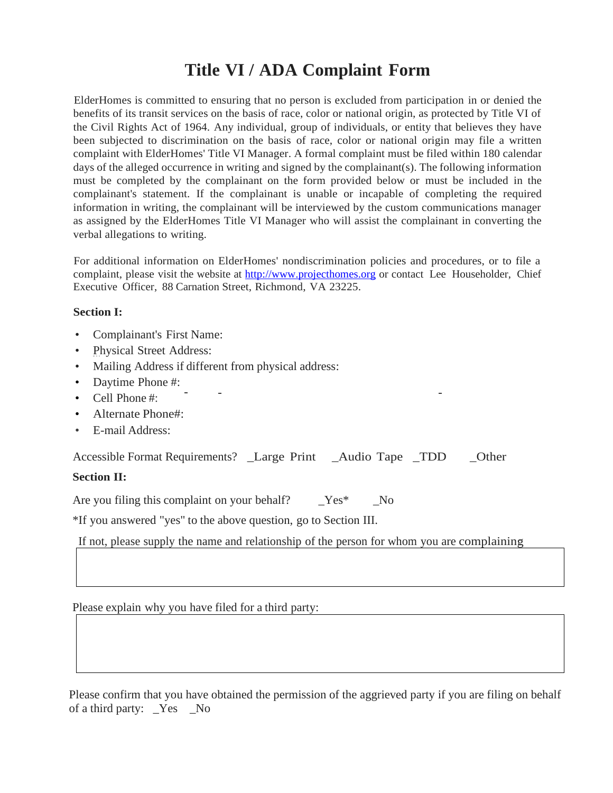# **Title VI / ADA Complaint Form**

ElderHomes is committed to ensuring that no person is excluded from participation in or denied the benefits of its transit services on the basis of race, color or national origin, as protected by Title VI of the Civil Rights Act of 1964. Any individual, group of individuals, or entity that believes they have been subjected to discrimination on the basis of race, color or national origin may file a written complaint with ElderHomes' Title VI Manager. A formal complaint must be filed within 180 calendar days of the alleged occurrence in writing and signed by the complainant(s). The following information must be completed by the complainant on the form provided below or must be included in the complainant's statement. If the complainant is unable or incapable of completing the required information in writing, the complainant will be interviewed by the custom communications manager as assigned by the ElderHomes Title VI Manager who will assist the complainant in converting the verbal allegations to writing.

For additional information on ElderHomes' nondiscrimination policies and procedures, or to file a complaint, please visit the website at [http://www.projecthomes.org](http://www.projecthomes.org/) or contact Lee Householder, Chief Executive Officer, 88 Carnation Street, Richmond, VA 23225.

# **Section I:**

- Complainant's First Name:
- Physical Street Address:
- Mailing Address if different from physical address:
- Daytime Phone #:
- Cell Phone #:
- Alternate Phone#:
- E-mail Address:

| Accessible Format Requirements? _Large Print |  | _Audio Tape _TDD |  | Other |
|----------------------------------------------|--|------------------|--|-------|
|----------------------------------------------|--|------------------|--|-------|

# **Section II:**

Are you filing this complaint on your behalf?  $Yes^*$  No

\*If you answered "yes" to the above question, go to Section III.

If not, please supply the name and relationship of the person for whom you are complaining:

Please explain why you have filed for a third party:

 Please confirm that you have obtained the permission of the aggrieved party if you are filing on behalf of a third party: \_Yes \_No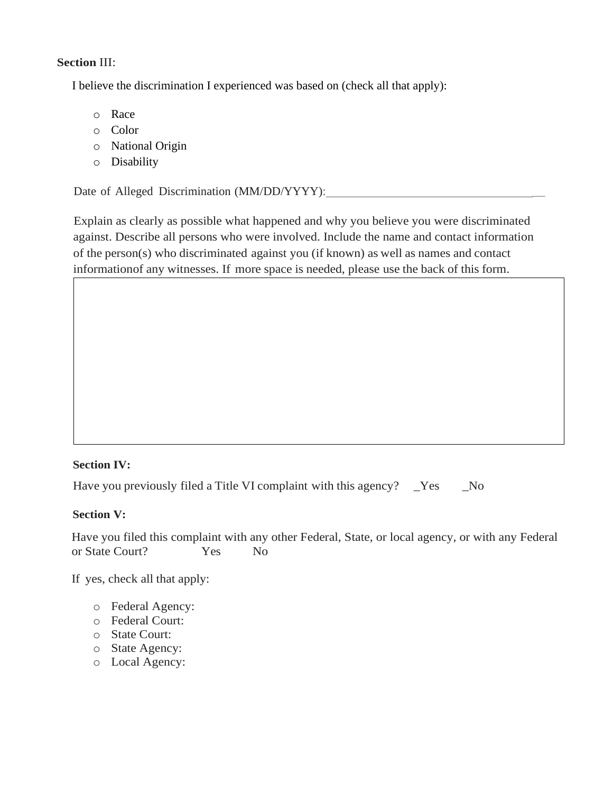# **Section** III:

I believe the discrimination I experienced was based on (check all that apply):

- o Race
- o Color
- o National Origin
- o Disability

Date of Alleged Discrimination (MM/DD/YYYY):

Explain as clearly as possible what happened and why you believe you were discriminated against. Describe all persons who were involved. Include the name and contact information of the person(s) who discriminated against you (if known) as well as names and contact informationof any witnesses. If more space is needed, please use the back of this form.

# **Section IV:**

Have you previously filed a Title VI complaint with this agency? \_Yes \_\_No

# **Section V:**

Have you filed this complaint with any other Federal, State, or local agency, or with any Federal or State Court? Tes No

If yes, check all that apply:

- o Federal Agency:
- o Federal Court:
- o State Court:
- o State Agency:
- o Local Agency: